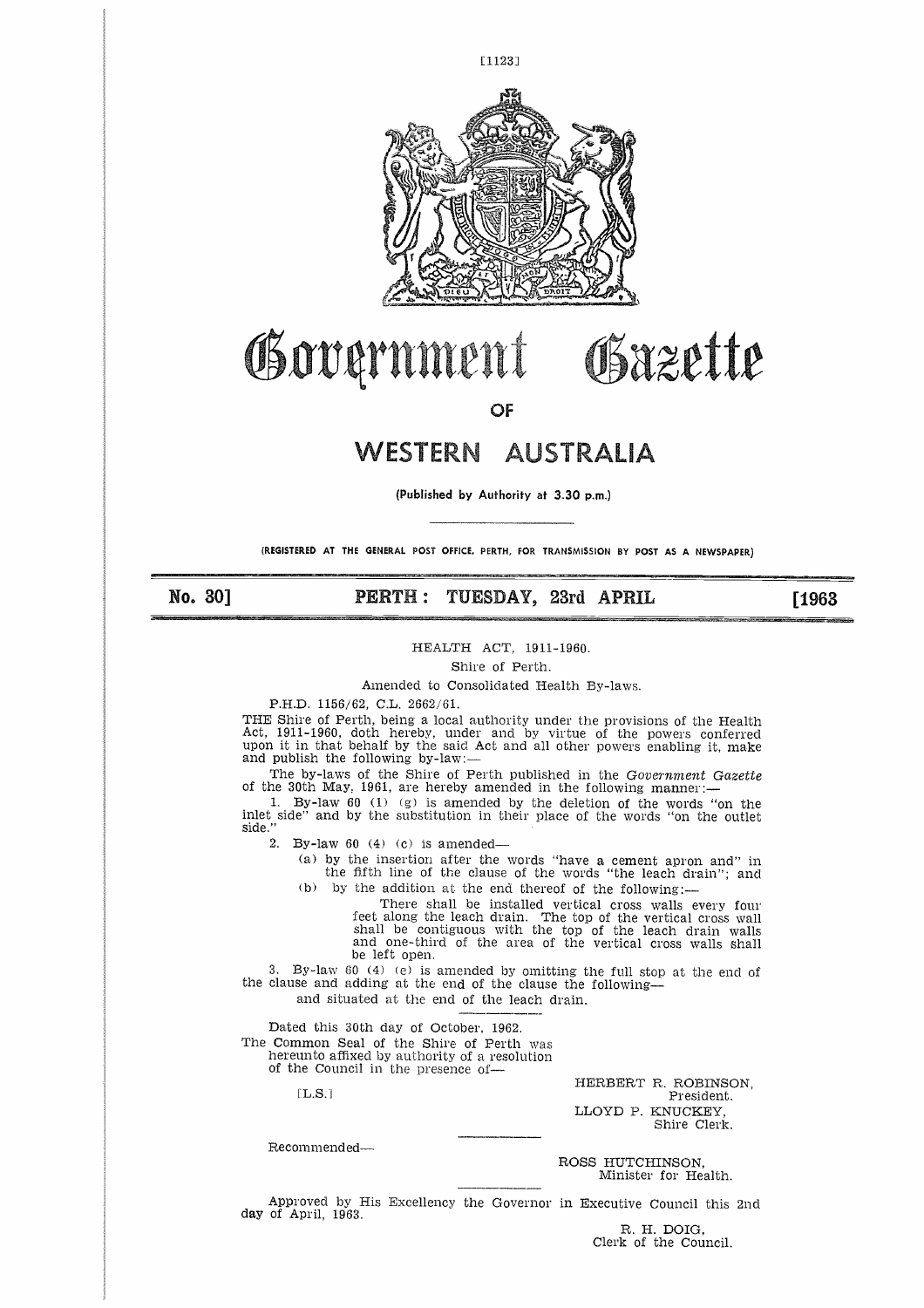

# Obazette Governmen

**OF**

# WESTERN AUSTRALIA

**(Published by Authority at 3.30 p.m.)**

**(REGISTERED AT THE GENERAL** POST OFFICE. PERTH, FOR TRANSMISSION BY POST AS **A NEWSPAPER)**

**No. 30]** 

# **PERTH : TUESDAY, 23rd APRIL**

[1963

#### HEALTH ACT, 1911-1960.

Shire of Perth.

Amended to Consolidated Health By-laws.

P.H.D. 1156/62, C.L. 2662/61.

THE Shire of Perth, being a local authority under the provisions of the Health Act, 1911-1960, doth hereby, under and by virtue of the powers conferred upon it in that behalf by the said Act and all other powers enabling it, make and publish the following by-law:

The by-laws of the Shire of Perth published in the *Government Gazette* of the 30th May, 1961, are hereby amended in the following manner:-

1. By-law 60 (1) (g) is amended by the deletion of the words "on the inlet side" and by the substitution in their place of the words "on the outle<br>side."

2. By-law 60 (4) (c) is amended

(a) by the insertion after the words "have a cement apron and" in the fifth line of the clause of the words "the leach drain"; and (b) by the addition at the end thereof of the following:-

There shall be installed vertical cross walls every four feet along the leach drain. The top of the vertical cross wall shall be contiguous with the top of the leach drain walls and one-third of the area of the vertical cross walls shall be left open.

3. By-law 60 (4) (e) is amended by omitting the full stop at the end of the clause and adding at the end of the clause the following and situated at the end of the leach drain.

Dated this 30th day of October, 1962. The Common Seal of the Shire of Perth was hereunto affixed by authority of a resolution of the Council in the presence of-

 $[L.S.]$ 

HERBERT R. ROBINSON, President. LLOYD P. KNUCKEY, Shire Clerk.

Recommended

ROSS HUTCHINSON, Minister for Health.

Approved by His Excellency the Governor in Executive Council this 2nd day of April, 1963.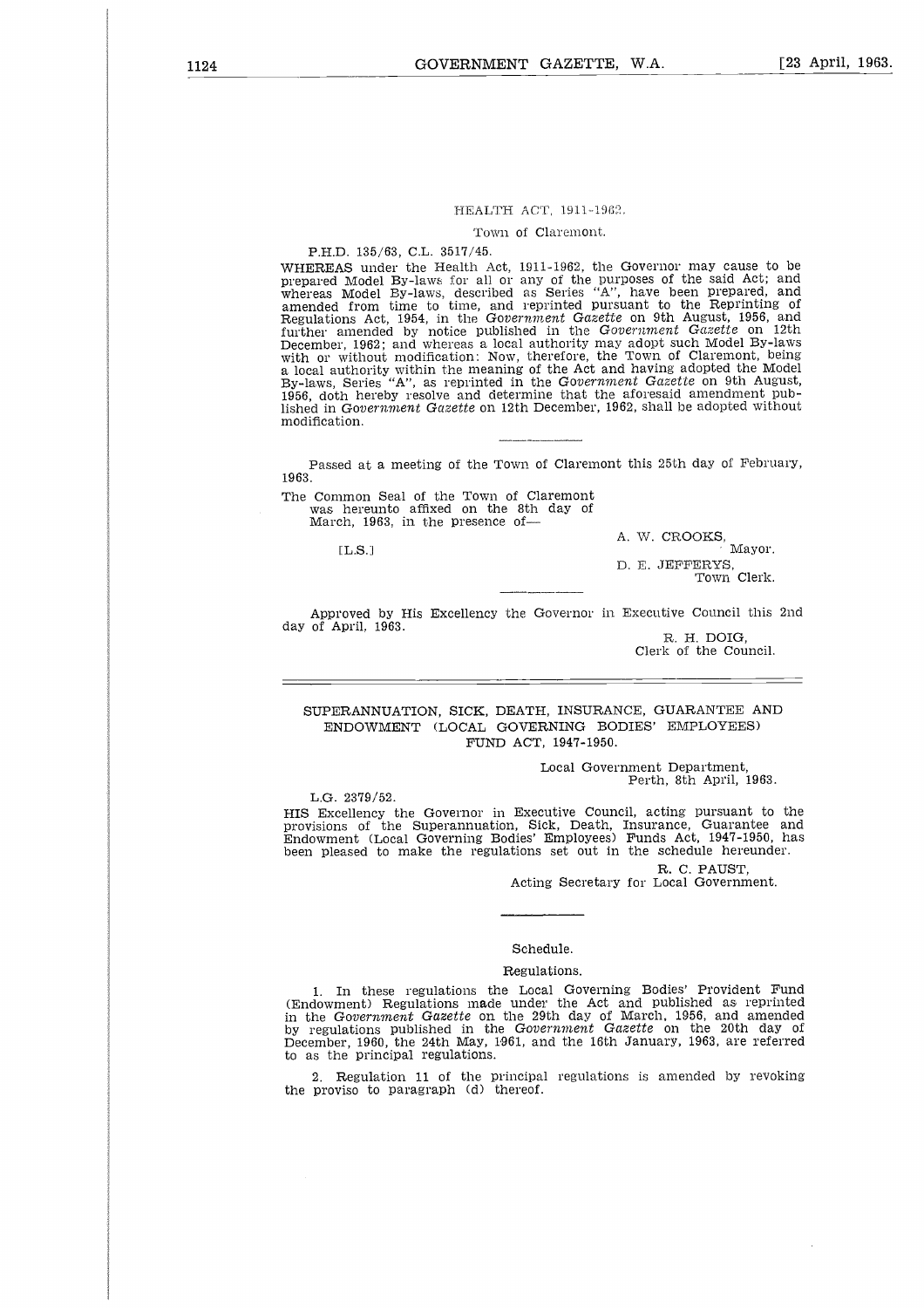#### HEALTH ACT, 1911-1962.

#### Town of Claremont.

#### P.H.D. 135/63, C.L. 3517/45.

WHEREAS under the Health Act, 1911-1962, the Governor may cause to be prepared Model By-laws for all or any of the purposes of the said Act; and whereas Model By-laws, described as Series "A", have been prepared, and amended from time to time, and reprinted pursuant to the Reprinting of Regulations Act, 1954, in the Government Gazette on 9th August, 1956, and<br>further amended by notice published in the Government Gazette on 12th<br>December, 1962; and whereas a local authority may adopt such Model By-laws<br>wit a local authority within the meaning of the Act and having adopted the Model<br>By-laws, Series "A", as reprinted in the Gov*ernment Gazette* on 9th August,<br>1956, doth hereby resolve and determine that the aforesaid amendment lished in *Government Gazette* on 12th December, 1962, shall be adopted without modification. 2 u<br>uits:<br>: : :<br>: : :<br>1 u

Passed at a meeting of the Town of Claremont this 25th day of February, 1963.

The Common Seal of the Town of Claremont was hereunto affixed on the 8th day of March, 1963, in the presence of-

 $IL.S.1$ 

A. W. CROOKS, Mayor.

D. E. JEFFERYS, Town Clerk.

Approved by His Excellency the Governor in Executive Council this 2nd day of April, 1963.

R. H. DOIG, Clerk of the Council.

SUPERANNUATION, SICK, DEATH, INSURANCE, GUARANTEE AND ENDOWMENT (LOCAL GOVERNING BODIES' EMPLOYEES) FUND ACT, 1947-1950.

> Local Government Department, Perth, 8th April, 1963.

L.G. 2379/52.

HIS Excellency the Governor in Executive Council, acting pursuant to the provisions of the Superannuation, Sick, Death, Insurance, Guarantee and Endowment (Local Governing Bodies' Employees) Funds Act, 1947-1950, has been pleased to make the regulations set out in the schedule hereunder.

> R. C. FAUST, Acting Secretary for Local Government.

# Schedule.

#### Regulations.

1. In these regulations the Local Governing Bodies' Provident Fund (Endowment) Regulations made under the Act and published as reprinted in the Government Gazette on the 29th day of March, 1956, and amended<br>by regulations published in the Government Gazette on the 20th day of<br>December, 1960, the 24th May, 1961, and the 16th January, 1963, are referred to as the principal regulations.

2. Regulation 11 of the principal regulations is amended by revoking the proviso to paragraph (d) thereof.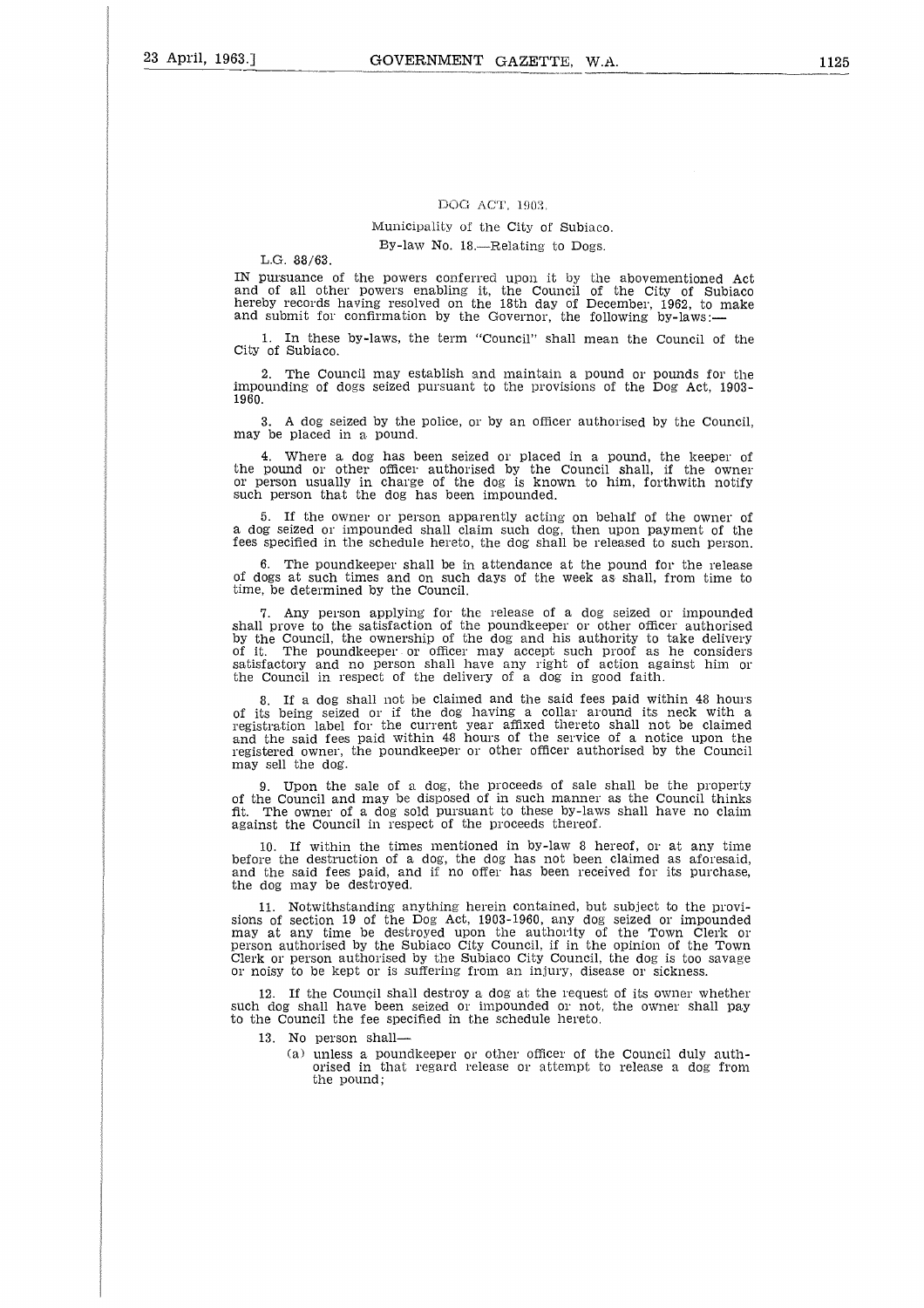#### DOG ACT, 1903.

# Municipality of the City of Subiaco. By-law No. 18.—Relating to Dogs.

L.G. 88/63.

IN pursuance of the powers conferred upon it by the abovementioned Act and of all other powers enabling it, the Council of the City of Subiaco<br>hereby records having resolved on the 18th day of December, 1962, to make<br>and submit for confirmation by the Governor, the following by-laws:—

1. In these by-laws, the term "Council" shall mean the Council of the City of Subiaco.

2. The Council may establish and maintain a pound or pounds for the impounding of dogs seized pursuant to the provisions of the Dog Act, 1903- 1960.

3. A dog seized by the police, or by an officer authorised by the Council, may be placed in a pound.

4. Where a. dog has been seized or placed in a pound, the keeper of the pound or other officer authorised by the Council shall, if the owner or person usually in charge of the dog is known to him, forthwith notify such person that the dog has been impounded.

5. If the owner or person apparently acting on behalf of the owner of a dog seized or impounded shall claim such dog, then upon payment of the fees specified in the schedule hereto, the dog shall be released to such person.

6. The poundkeeper shall be in attendance at the pound for the release of dogs at such times and on such days of the week as shall, from time to time, be determined by the Council.

7. Any person applying for the release of a dog seized or impounded shall prove to the satisfaction of the poundkeeper or other officer authorised by the Council, the ownership of the dog and his authority to take delivery of it. The poundkeeper or officer may accept such proof as he consider. satisfactory and no person shall have any right of action against him or the Council in respect of the delivery of a dog in good faith.

8. If a dog shall not be claimed and the said fees paid within 48 hours of its being seized or if the dog having a collar around its neck with a registration label for the current year affixed thereto shall not be claimed and the said fees paid within 48 hours of the service of a notice upon the registered owner, the poundkeeper or other officer authorised by the Council may sell the dog.

9. Upon the sale of a dog, the proceeds of sale shall be the property of the Council and may be disposed of in such manner as the Council thinks fit. The owner of a dog sold pursuant to these by-laws shall have no claim against the Council in respect of the proceeds thereof.

If within the times mentioned in by-law 8 hereof, or at any time before the destruction of a dog, the dog has not been claimed as aforesaid<br>and the said fees paid, and if no offer has been received for its purchase the dog may be destroyed.

11. Notwithstanding anything herein contained, but subject to the provisions of section 19 of the Dog Act, 1903-1960, any dog seized or impounded may at any time be destroyed upon the authority of the Town Clerk or person authorised by the Subiaco City Council, if in the opinion of the Town Clerk or person authorised by the Subiaco City Council, the dog is too savage or noisy to be kept or is suffering from an injury, disease or sickness.

If the Council shall destroy a dog at the request of its owner whether such dog shall have been seized or impounded or not, the owner shall pay to the Council the fee specified in the schedule hereto.

- 13. No person shall
	- (a) unless a poundkeeper or other officer of the Council duly authorised in that regard release or attempt; to release a dog from the pound;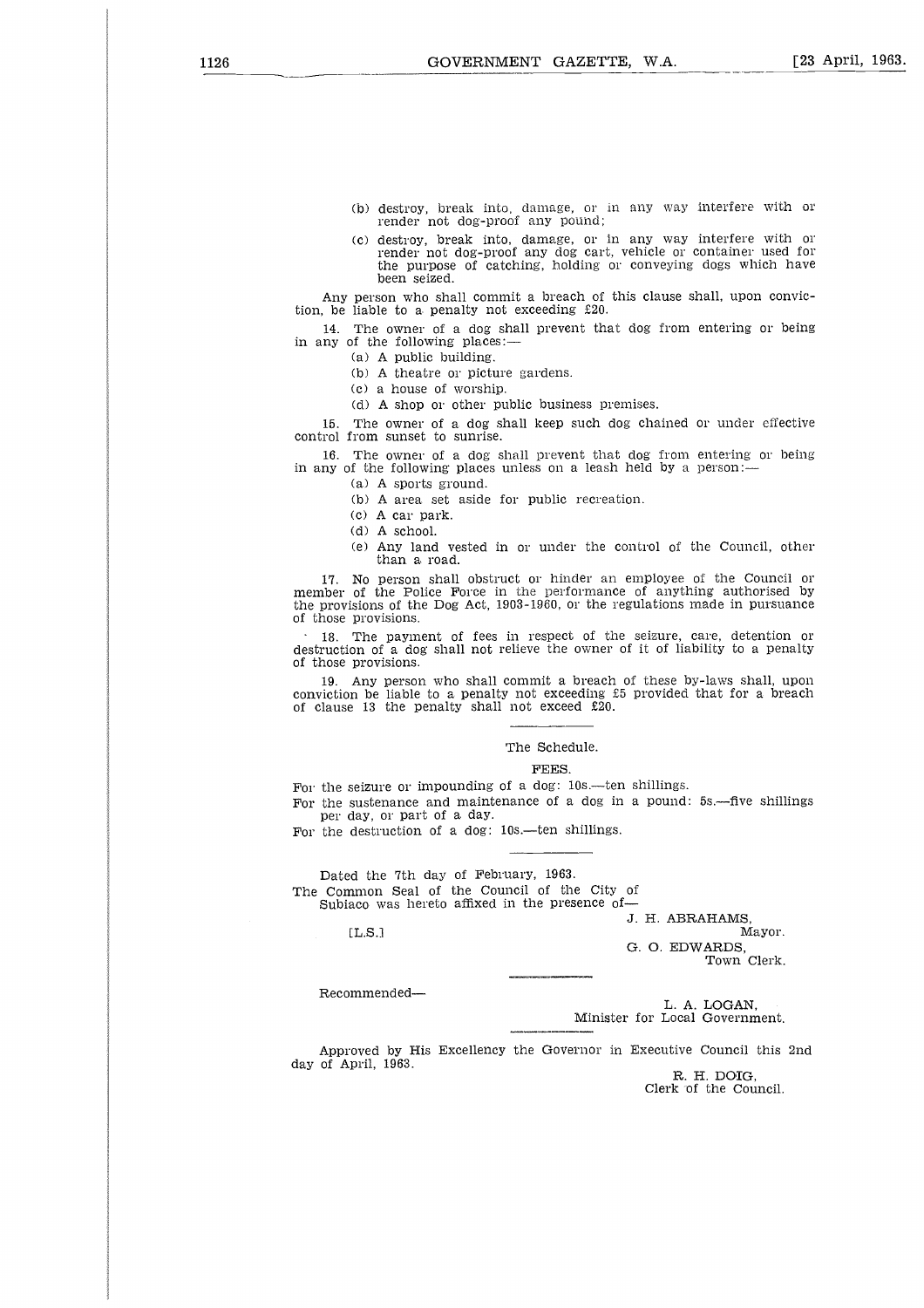- (b) destroy, break into, damage, or in any way interfere with or render not dog-proof any pound;
- (c) destroy, break into, damage, or in any way interfere with or render not dog-proof any dog cart, vehicle or container used for the purpose of catching, holding or conveying dogs which have been seized.

Any person who shall commit a breach of this clause shall, upon conviction, be liable to a penalty not exceeding £20.

14. The owner of a dog shall prevent that dog from entering or being in any of the following places:—

(a) A public building.

(b) A theatre or picture gardens.

(c) a house of worship.

(d) A shop or other public business premises.

15. The owner of a dog shall keep such dog chained or under effective control from sunset to sunrise.

16. The owner of a dog shall prevent that dog from entering or being in any of the following places unless on a leash held by a person:—

(a) A sports ground.

(b) A area set aside for public recreation.

(c) A car park.

(d) A school.

(e) Any land vested in or under the control of the Council, other than a road.

17. No person shall obstruct or hinder an employee of the Council or member of the Police Force in the performance of anything authorised by the provisions of the Dog Act, 1903-1960, or the regulations made in pursuance of those provisions.

18. The payment of fees in respect of the seizure, care, detention or destruction of a dog shall not relieve the owner of it of liability to a penalty of those provisions.

19. Any person who shall commit a breach of these by-laws shall, upon conviction be liable to a penalty not exceeding £5 provided that for a breach of clause 13 the penalty shall not exceed £20.

#### The Schedule.

#### FEES.

For the seizure or impounding of a dog: 10s.—ten shillings.

For the sustenance and maintenance of a dog in a pound: 5s.—five shillings per day, or part of a day.

For the destruction of a dog: 10s.—ten shillings.

Dated the 7th day of February, 1963. The Common Seal of the Council of the City of Subiaco was hereto affixed in the presence of-

J. H. ABRAHAMS,

Mayor.  $\sim$   $\sim$   $\sim$   $\sim$ G. 0. EDWARDS,

Town Clerk.

Recommended

 $[LL.S.]$ 

L. A. LOGAN, Minister for Local Government.

Approved by His Excellency the Governor in Executive Council this 2nd day of April, 1963.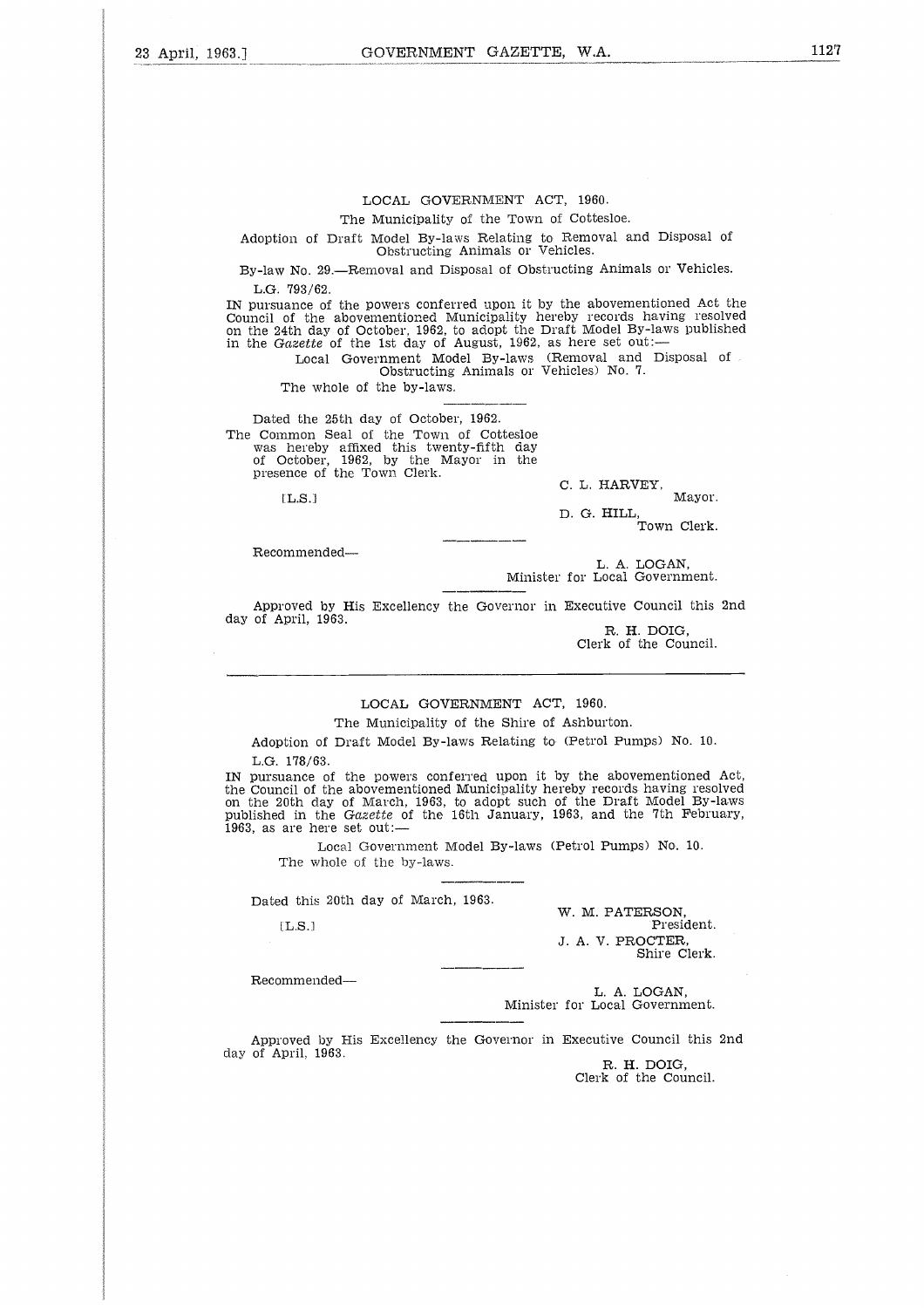The Municipality of the Town of Cottesloe.

Adoption of Draft Model By-laws Relating to Removal and Disposal of Obstructing Animals or Vehicles.

By-law No. 29.—Removal and Disposal of Obstructing Animals or Vehicles. L.G. '793/62.

IN pursuance of the powers conferred upon it by the abovementioned Act the Council of the abovementioned Municipality hereby records having resolved on the 24th day of October, 1962, to adopt the Draft Model By-laws published in the *Gazette* of the 1st day of August, 1962, as here set out:

Local Government Model By-laws (Removal and Disposal of Obstructing Animals or Vehicles) No. 7.

The whole of the by-laws.

Dated the 25th day of October, 1962. The Common Seal of the Town of Cottesloe was hereby affixed this twenty-fifth day of October, 1962, by the Mayor in the presence of the Town Clerk.

 $[LS.]$ 

 $C.$  L. HARVEY,

Mayor. Mayor.<br>D. G. HILL,<br>Town Clerk.

Recommended

L. A. LOGAN, Minister for Local Government.

Approved by His Excellency the Governor in Executive Council this 2nd day of April, 1963.

R. H. DOIG, Clerk of the Council.

## LOCAL GOVERNMENT ACT, 1960.

The Municipality of the Shire of Ashburton.

Adoption of Draft Model By-laws Relating to (Petrol Pumps) No. 10.

L.G. 178/63.

IN pursuance of the powers conferred upon it by the abovementioned Act, the Council of the abovementioned Municipality hereby records having resolved on the 20th day of March, 1963, to adopt such of the Draft Model By-laws published in the *Gazette* of the 16th January, 1963, and the 7th February, 1963, as are here set out: 

Local Government Model By-laws (Petrol Pumps) No. 10. The whole of the by-laws.

Dated this 20th day of March, 1963.

[L.S.]

W. M. PATERSON, President. *J.* A. V. PROCTER, Shire Clerk.

Recommended

L. A. LOGAN, Minister for Local Government.

Approved by His Excellency the Governor in Executive Council this 2nd day of April, 1963.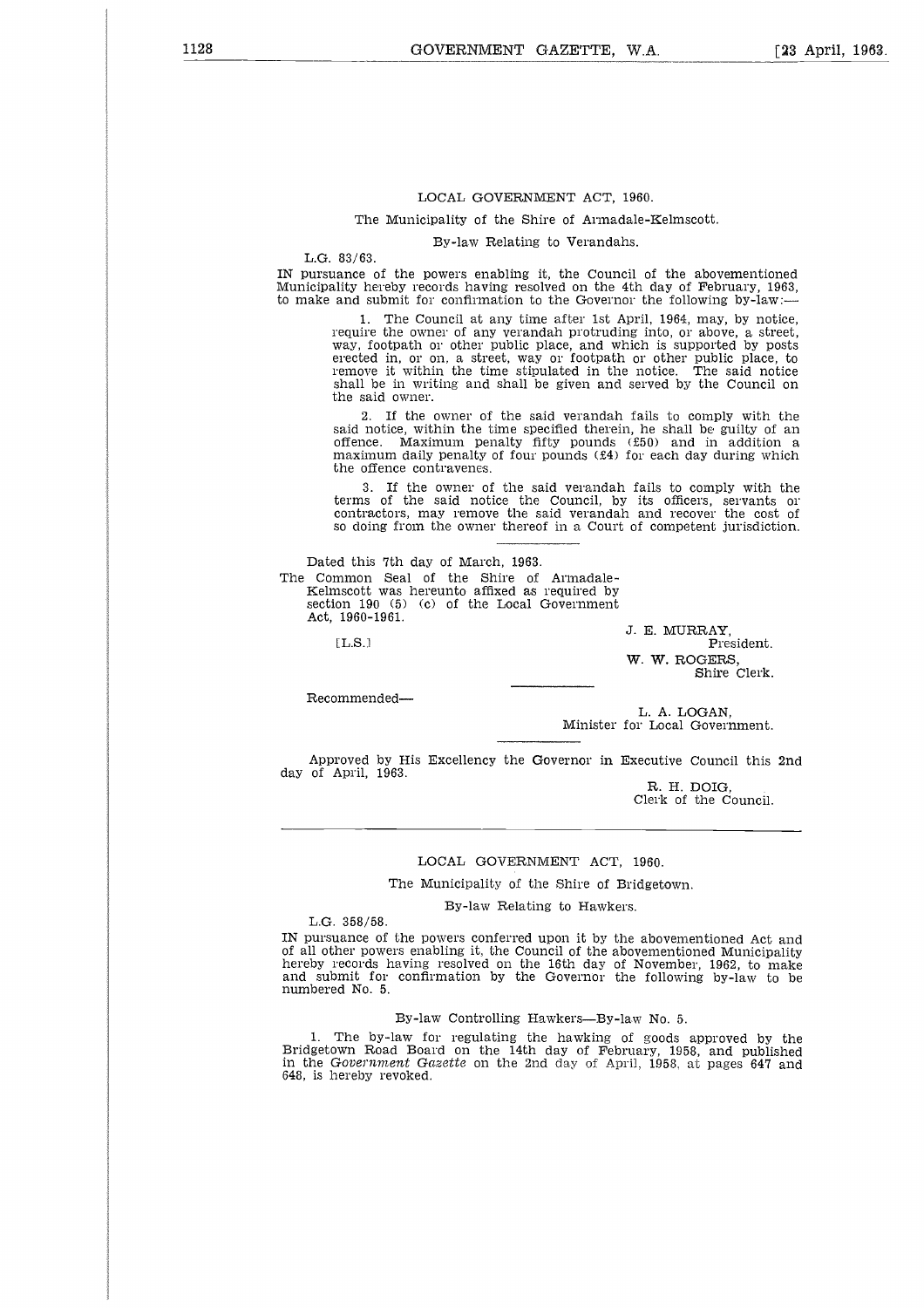#### The Municipality of the Shire of Armadale-Kelmscott.

By-law Relating to Verandahs.

L.G. 83/63.

IN pursuance of the powers enabling it, the Council of the abovementioned Municipality hereby records having resolved on the 4th day of February, 1963, to make and submit for confirmation to the Governor the following by-law:-

The Council at any time after 1st April, 1964, may, by notice, require the owner of any verandah protruding into, or above, a street, way, footpath or other public place, and which is supported by posts erected in, or on, a street, way or footpath or other public place, to remove it within the time stipulated in the notice. The said notice shall be in writing and shall be given and served by the Council on the said owner.

If the owner of the said verandah fails to comply with the said notice, within the time specified therein, he shall be guilty of an offence. Maximum penalty fifty pounds (£50) and in addition a maximum daily penalty of four pounds (£4) for each day during which the offence contravenes.

3. If the owner of the said verandah fails to comply with the terms of the said notice the Council, by its officers, servants of contractors, may remove the said verandah and recover the cost of so doing from the owner thereof in a Court of competent jurisdiction.

Dated this 7th day of March, 1963. The Common Seal of the Shire of Armadale-Kelmscott was hereunto affixed as required by section 190 (5) (c) of the Local Government Act, 1960-1961.

 $[T, S]$ 

Recommended

J. E. MURRAY, W. W. ROGERS, Shire Clerk.

L. A. LOGAN, Minister for Local Government.

Approved by His Excellency the Governor in Executive Council this 2nd day of April, 1963.

R. H. DOIG, Clerk of the Council.

#### LOCAL GOVERNMENT ACT, 1960.

The Municipality of the Shire of Bridgetown.

By-law Relating to Hawkers.

L.G. 358/58.

IN pursuance of the powers conferred upon it by the abovementioned Act and of all other powers enabling it, the Council of the abovementioned Municipality hereby records having resolved on the 16th day of November, 1962, to make and submit for confirmation by the Governor the following by-law to be numbered No. 5.

#### By-law Controlling Hawkers—By-law No. 5.

1. The by-law for regulating the hawking of goods approved by the Bridgetown Road Board on the 14th day of February, 1958, and published in the *Government Gazette* on the 2nd day of April, 1958, at pages 647 and 648, is hereby revoked.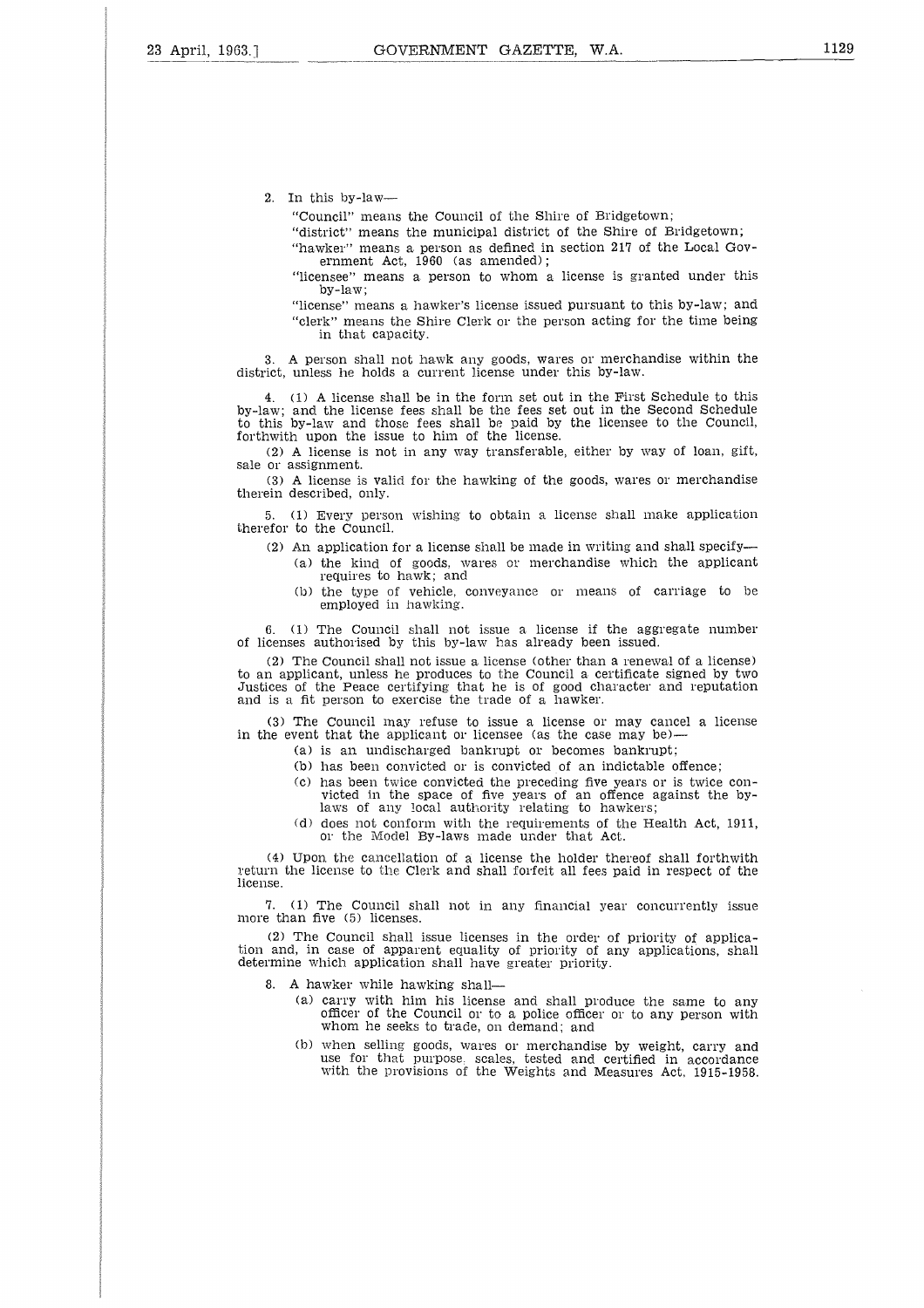2. In this by-law

"Council" means the Council of the Shire of Bridgetown;

"district" means the municipal district of the Shire of Bridgetown;

"hawker" means a person as defined in section 217 of the Local Government Act, 1960 (as amended) ;

"licensee" means a person to whom a license is granted under this by-law;

"license" means a hawker's license issued pursuant to this by-law; and "clerk" means the Shire Clerk or the person acting for the time being in that capacity.

3. A person shall not hawk any goods, wares or merchandise within the district, unless he holds a current license under this by-law.

4. (1) A license shall be in the form set out in the First Schedule to this by-law; and the license fees shall be the fees set out in the Second Schedule to this by-law and those fees shall be paid by the licensee to the Council, forthwith upon the issue to him of the license.

(2) A license is not in any way transferable, either by way of loan, gift, sale or assignment.

(3) A license is valid for the hawking of the goods, wares or merchandise therein described, only.

5. (1) Every person wishing to obtain a license shall make application therefor to the Council.

- (2) An application for a license shall be made in writing and shall specify (a) the kind of goods, wares or merchandise which the applicant requires to hawk; and
	- (b) the type of vehicle, conveyance or means of carriage to be employed in hawking.

6. (1) The Council shall not issue a license if the aggregate number of licenses authorised by this by-law has already been issued.

(2) The Council shall not issue a license (other than a renewal of a license) to an applicant, unless he produces to the Council a certificate signed by two Justices of the Peace certifying that he is of good character and reputation and is a fit person to exercise the trade of a hawker.

(3) The Council may refuse to issue a license or may cancel a license in the event that the applicant or licensee (as the case may be)-

- (a) is an undischarged bankrupt or becomes bankrupt;
	- (b) has been convicted or is convicted of an indictable offence;
	- (c) has been twice convicted the preceding five years or is twice con-victed in the space of five years of an offence against the bylaws of any local authority relating to hawkers
	- (d) does not conform with the requirements of the Health Act, 1911, or the Model By-laws made under that Act.

(4) Upon the cancellation of a license the holder thereof shall forthwith return the license to the Clerk and shall forfeit all fees paid in respect of the license.

7, (1) The Council shall not in any financial year concurrently issue more than five (5) licenses.

(2) The Council shall issue licenses in the order of priority of application and, in case of apparent equality of priority of any applications, shall determine which application shall have greater priority.

8. A hawker while hawking shall

- (a) carry with him his license and shall produce the same to any officer of the Council or to a police officer or to any person with whom he seeks to trade, on demand; and
- (b) when selling goods, wares or merchandise by weight, carry and use for that purpose, scales, tested and certified in accordance with the provisions of the Weights and Measures Act, 1915-1958.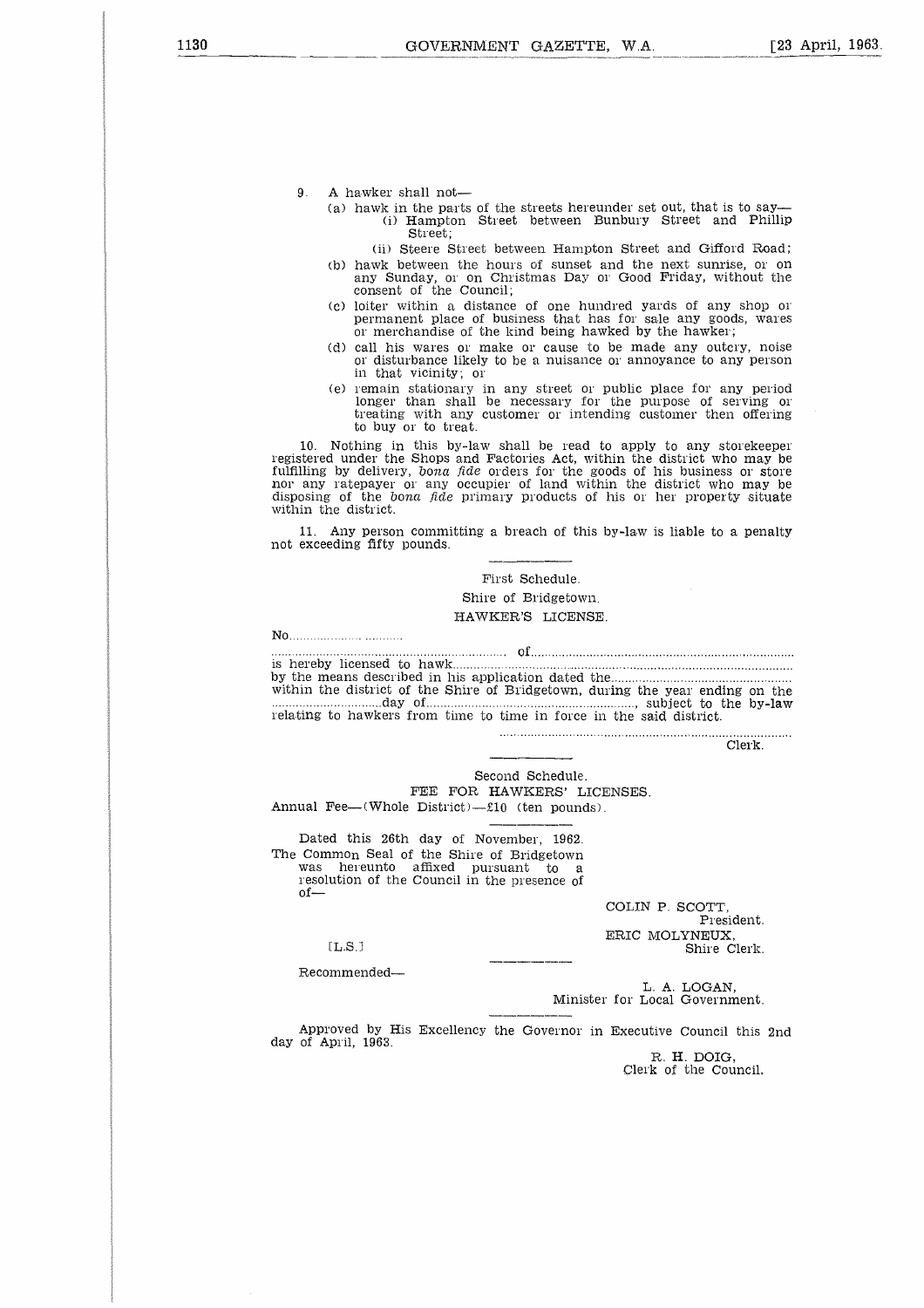- 9. A hawker shall not
	- (a) hawk in the parts of the streets hereunder set out, that is to say- (i) Hampton Street between Bunbury Street and Phillip Street;
		- (ii) Steere Street between Hampton Street and Gifford Road;
	- (b) hawk between the hours of sunset and the next sunrise, or on any Sunday, or on Christmas Day or Good Friday, without the consent of the Council;
	- (c) loiter within a distance of one hundred yards of any shop or permanent place of business that has for sale any goods, wares or merchandise of the kind being hawked by the hawker;
	- (d) call his wares or make or cause to be made any outcry, noise or disturbance likely to be a nuisance or annoyance to any person in that vicinity; or
	- (e) remain stationary in any street or public place for any period longer than shall be necessary for the purpose of serving or treating with any customer or intending customer then offering to buy or to treat.

10. Nothing in this by-law shall be read to apply to any storekeeper registered under the Shops and Factories Act, within the district who may be fulfilling by delivery, *bona fide* orders for the goods of his business or store nor any ratepayer or any occupier of land within the district who may be disposing of the *bona fide* primary products of his or her property situate within the district. No 

11. Any person committing a breach of this by-law is liable to a penalty not exceeding fifty pounds.

# First Schedule. Shire of Bridgetown. HAWKER'S LICENSE.

of by the means described in his application dated the is hereby licensed to hawk within the district of the Shire of Bridgetown, during the year ending on the within the district.<br>
11. Any person com<br>
not exceeding fifty poun<br>
not exceeding fifty poun<br>
shereby licensed to has<br>
shereby licensed to have the means described if<br>
within the district of the<br>
shereby district of the me ;;<br>t;<br>ii<br>.: ni<br>y<br>...<br>... , subject to the by-law relating to hawkers from time to time in force in the said district.

. . . . . . . . . Clerk.

Second Schedule.

FEE FOR HAWKERS' LICENSES. Annual Fee—(Whole District)—£10 (ten pounds).

Dated this 26th day of November, 1962. The Common Seal of the Shire of Bridgetown was hereunto affixed pursuant to resolution of the Council in the presence of  $of-$ 

> COLIN P. SCOTT, President. ERIC MOLYNEUX,<br>Shire Clerk.

 $[L.S.]$ 

Recommended

L. A. LOGAN, Minister for Local Government.

Approved by His Excellency the Governor in Executive Council this 2nd day of April, 1963.

[L.S.] Shire Clerk.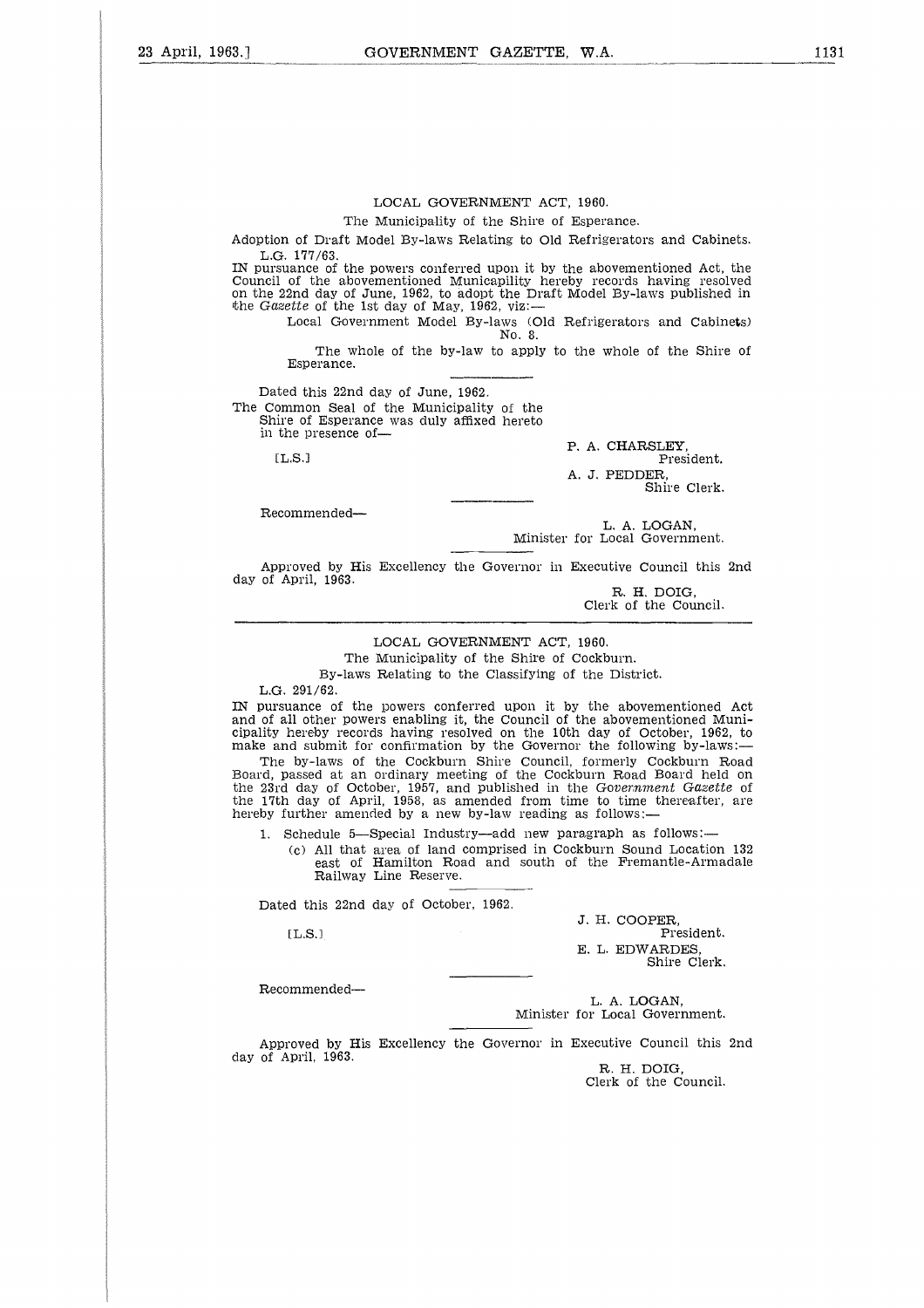#### The Municipality of the Shire of Esperance.

Adoption of Draft Model By-laws Relating to Old Refrigerators and Cabinets. L.G. 177/63.

IN pursuance of the powers conferred upon it by the abovementioned Act, the Council of the abovementioned Municapility hereby records having resolved on the 22nd day of June, 1962, to adopt the Draft Model By-laws published in the *Gazette* of the 1st day of May, 1962, viz: suance of the powers conferred upon it by the abovementioned Act<br>
1 of the abovementioned Municapility hereby records having rest<br>
22nd day of June, 1962, to adopt the Draft Model By-laws publishe<br>
zette of the 1st day of

Local Government Model By-laws (Old Refrigerators and Cabinets) No. 8.

The whole of the by-law to apply to the whole of the Shire of Esperance.

Dated this 22nd day of June, 1962. The Common Seal of the Municipality of the Shire of Esperance was duly affixed hereto in the presence of

Recommended

P. A. CHARSLEY,<br>President. A. J. PEDDER, Shire Clerk.

L. A. LOGAN, Minister for Local Government.

Approved by His Excellency the Governor in Executive Council this 2nd day of April, 1963.

R. H. DOIG, Clerk of the Council.

# LOCAL GOVERNMENT ACT, 1960.

The Municipality of the Shire of Cockburn. By-laws Relating to the Classifying of the District.

L.G. 291/62.

IN pursuance of the powers conferred upon it by the abovementioned Act and of all other powers enabling it, the Council of the abovementioned Municipality hereby records having resolved on the 10th day of October, 1962, to make and submit for confirmation by the Governor the following by-laws:

The by-laws of the Cockburn Shire Council, formerly Cockburn Road Board, passed at an ordinary meeting of the Cockburn Road Board held on the 23rd day of October, 1957, and published in the *Government Gazette* of the 17th day of April, 1958, as amended from time to time thereafter, are hereby further amended by a new by-law reading as follows:—

1. Schedule 5—Special Industry—add new paragraph as follows:

(c) All that area of land comprised in Cockburn Sound Location 132 east of Hamilton Road and south of the Fremantle-Armadale Railway Line Reserve.

Dated this 22nd day of October, 1962.<br>
[L.S.]

 $TLS.1$ 

J. H. COOPER,<br>President. E. L. EDWARDES, Shire Clerk.

Recommended

L. A. LOGAN. Minister for Local Government.

Approved by His Excellency the Governor in Executive Council this 2nd day of April, 1963.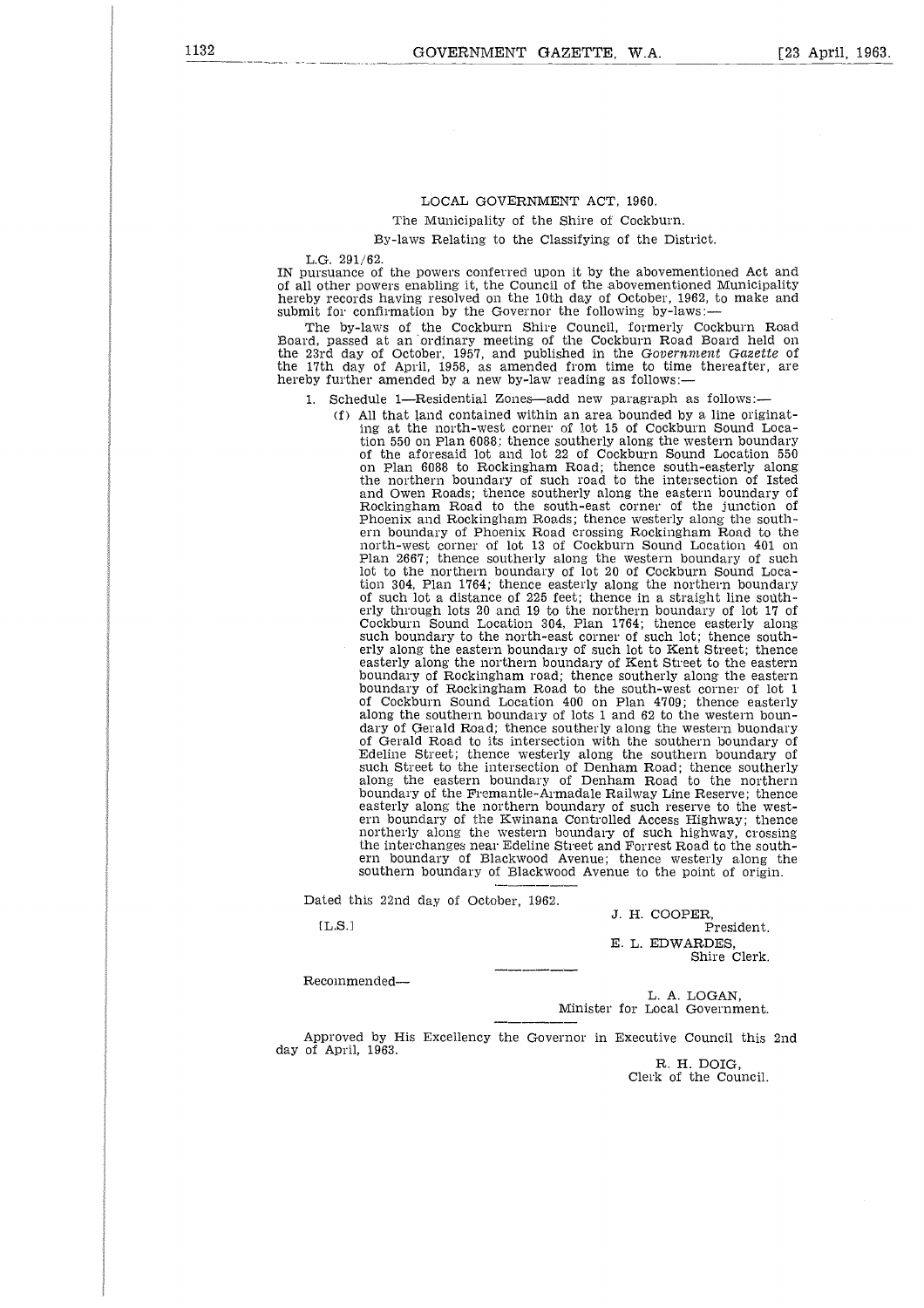The Municipality of the Shire of Cockburn.

By-laws Relating to the Classifying of the District.

L.G. 291/62.

IN pursuance of the powers conferred upon it by the abovementioned Act and of all other powers enabling it, the Council of the abovementioned Municipality hereby records having resolved on the 10th day of October, 1962, to make and submit for confirmation by the Governor the following by-laws

The by-laws of the Cockburn Shire Council, formerly Cockburn Road Board, passed at an ordinary meeting of the Cockburn Road Board held on the 23rd day of October, 1957, and published in the *Government Gazette* of the 17th day of April, 1958, as amended from time to time thereafter, are hereby further amended by a new by-law reading as follows:-

- 1. Schedule 1—Residential Zones—add new paragraph as follows:
	- (f) All that land contained within an area bounded by a line originating at the north-west corner of lot 15 of Cockburn Sound Location 550 on Plan 6088; thence southerly along the western boundary of the aforesaid lot and lot 22 of Cockburn Sound Location 550 on Plan 6088 to Rockingham Road; thence south-easterly along the northern boundary of such road to the intersection of Isted and Owen Roads; thence southerly along the eastern boundary of Rockingham Road to the south-east corner of the junction of Phoenix and Rockingham Roads; thence westerly along the southern boundary of Phoenix Road crossing Rockingham Road to the north-west corner of lot 13 of Cockburn Sound Location 401 on Plan 2667; thence southerly along the western boundary of such lot to the northern boundary of lot 20 of Cockburn Sound Location 304, Plan 1764; thence easterly along the northern boundary of such lot a distance of 225 feet; thence in a straight line southerly through lots 20 and 19 to the northern boundary of lot 17 of Cockburn Sound Location 304, Plan 1764; thence easterly along such boundary to the north-east corner of such lot; thence southerly along the eastern boundary of such lot to Kent Street; thence easterly along the northern boundary of Kent Street to the eastern boundary of Rockingham road; thence southerly along the eastern boundary of Rockingham Road to the south-west corner of lot 1 of Cockburn Sound Location 400 on Plan 4709; thence easterly along the southern boundary of lots 1 and 62 to the western boundary of Gerald Road; thence southerly along the western buondary of Gerald Road to its intersection with the southern boundary of Edeline Street; thence westerly along the southern boundary of such Street to the intersection of Denham Road; thence southerly along the eastern boundary of Denham Road to the northern boundary of the Fremantle-Armadale Railway Line Reserve; thence easterly along the northern boundary of such reserve to the western boundary of the Kwinana, Controlled Access Highway; thence northerly along the western boundary of such highway, crossing the interchanges near Edeline Street and Forrest Road to the southern boundary of Blackwood Avenue; thence westerly along the southern boundary of Blackwood Avenue to the point of origin. tted the state of the state of the state of the state of the state of the state of the state of the state of the state of the state of the state of the state of the state of the state of the state of the state of the state

Dated this 22nd day of October, 1962.

 $[L.S.]$ 

J. H. COOPER, President. E. L. EDWARDES, Shire Clerk.

Recommended

L. A. LOGAN, Minister for Local Government.

Approved by His Excellency the Governor in Executive Council this 2nd day of April, 1963.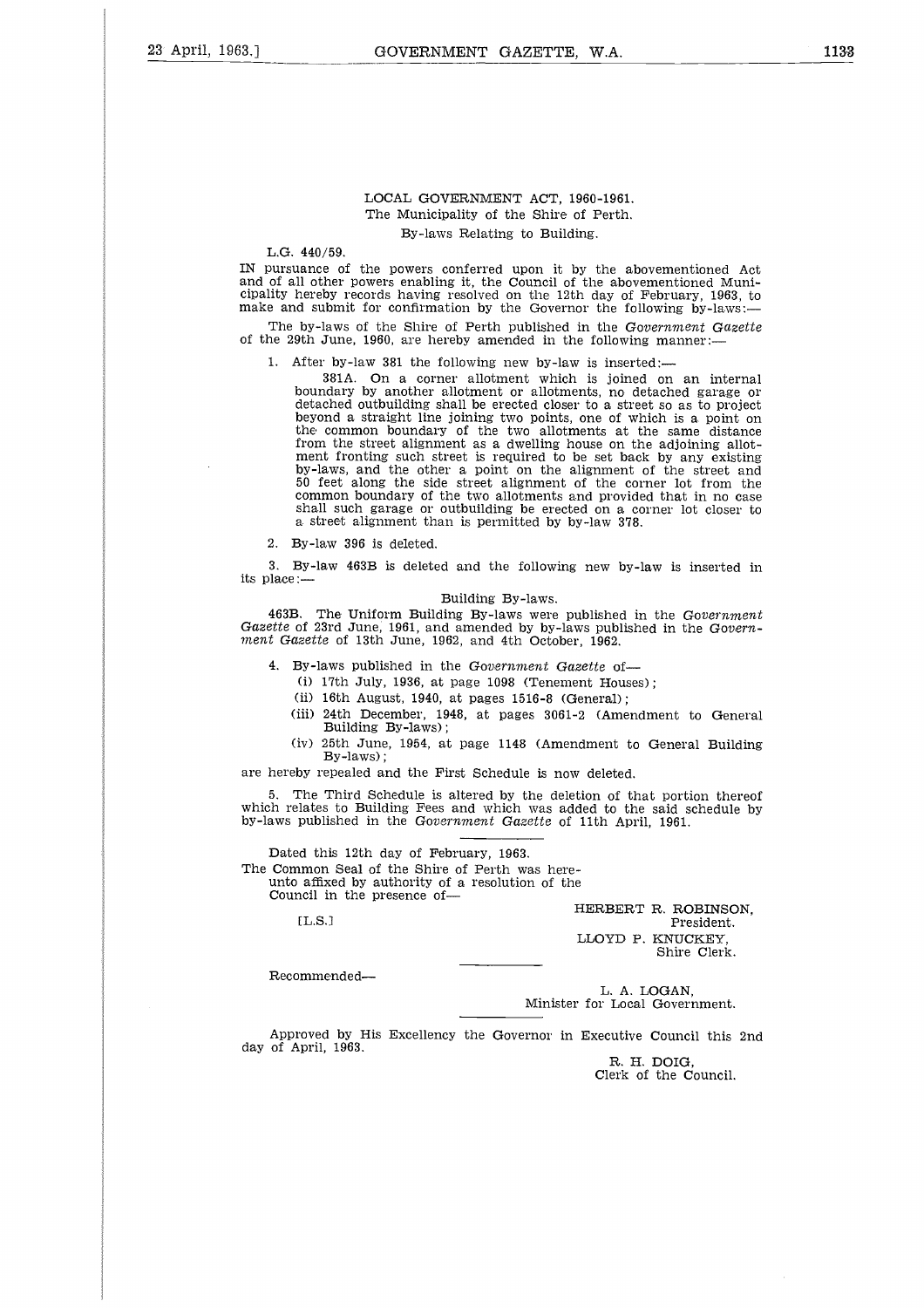# LOCAL GOVERNMENT ACT, 1960-1961. The Municipality of the Shire of Perth. By-laws Relating to Building.

L.G. 440/59.

IN pursuance of the powers conferred upon it by the abovementioned Act and of all other powers enabling it, the Council of the abovementioned Municipality hereby records having resolved on the 12th day of February, 1963, to make and submit for confirmation by the Governor the following by-laws:

The by-laws of the Shire of Perth published in the Government *Gazette* of the 29th June, 1960, are hereby amended in the following manner:-

1. After by-law 381 the following new by-law is inserted:-

381A. On a corner allotment which is joined on an internal boundary by another allotment or allotments, no detached garage or detached outbuilding shall be erected closer to a street so as to project beyond a straight line joining two points, one of which is a point on the common boundary of the two allotments at the same distance from the street alignment as a dwelling house on the adjoining allotment fronting such street is required to be set back by any existing by-laws, and the other a point on the alignment of the street and 50 feet along the side street alignment of the corner lot from the common boundary of the two allotments and provided that in no case shall such garage or outbuilding be erected on a corner lot closer to a street alignment than is permitted by by-law 378.

2. By-law 396 is deleted.

3. By-law 463B is deleted and the following new by-law is inserted in its place:—

#### Building By-laws.

463B. The Uniform Building By-laws were published in the *Government Gazette* of 23rd June, 1961, and amended by by-laws published in the *Government Gazette* of 13th June, 1962, and 4th October, 1962.

4. By-laws published in the *Government Gazette* of-

- (i) 17th July, 1936, at page 1098 (Tenement Houses);
- (ii) 16th August, 1940, at pages 1516-8 (General);
- (iii) 24th December, 1948, at pages 3061-2 (Amendment to General Building By-laws);
- (iv) 25th June, 1954, at page 1148 (Amendment to General Building By-laws);

are hereby repealed and the First Schedule is now deleted.

The Third Schedule is altered by the deletion of that portion thereof which relates to Building Fees and which was added to the said schedule by by-laws published in the *Government Gazette* of 11th April, 1961.

Dated this 12th day of February, 1963. The Common Seal of the Shire of Perth was hereunto affixed by authority of a resolution of the Council in the presence of— $[L.S.]$ 

 $[L.S.]$ 

HERBERT R. ROBINSON, President. LLOYD P. KNUCKEY, Shire Clerk.

Recommended

L. A. LOGAN, Minister for Local Government.

Approved by His Excellency the Governor in Executive Council this 2nd day of April, 1963.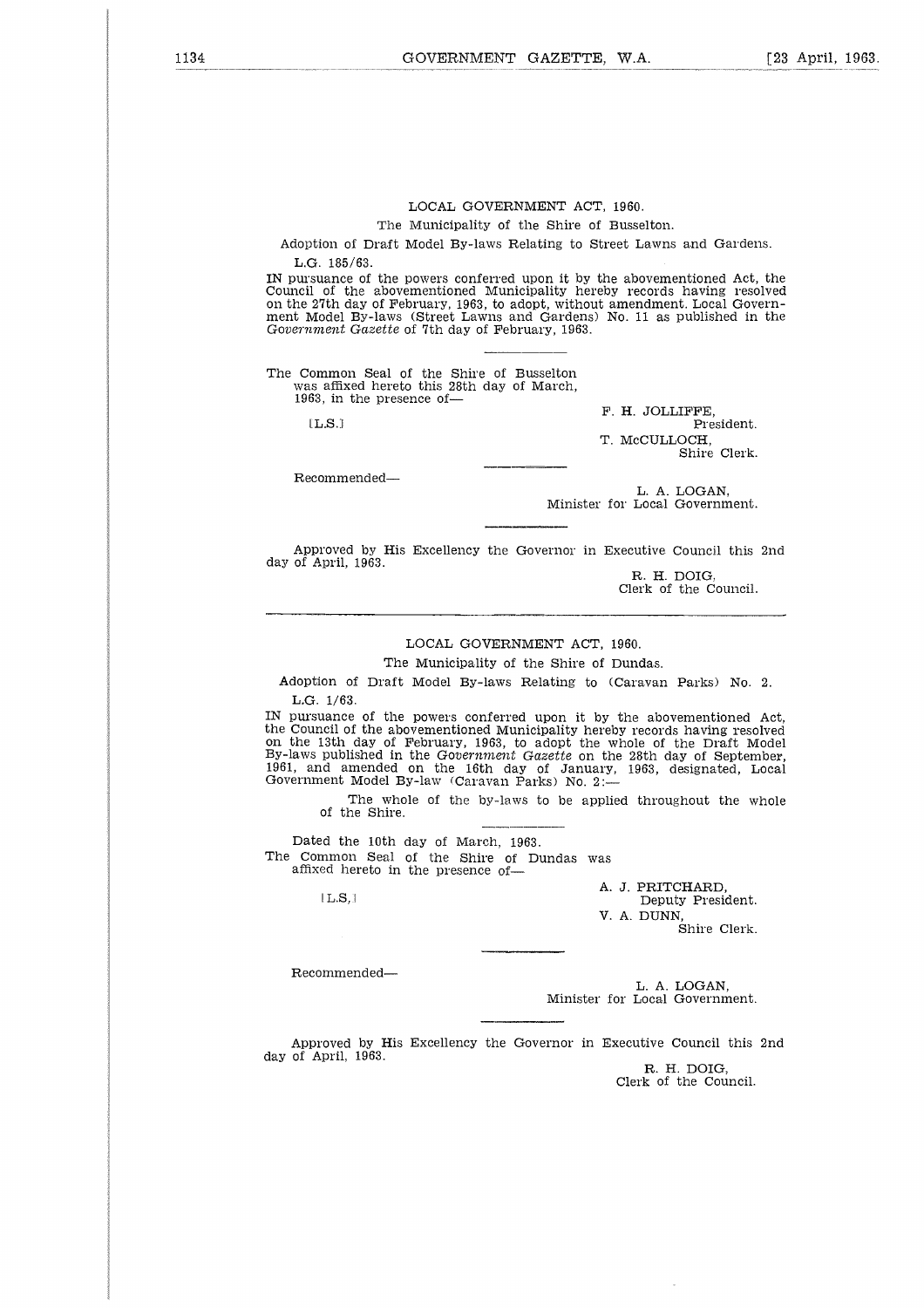The Municipality of the Shire of Busselton.

Adoption of Draft Model By-laws Relating to Street Lawns and Gardens. L.G. 185/63.

IN pursuance of the powers conferred upon it by the abovementioned Act, the Council of the abovementioned Municipality hereby records having resolved on the 27th day of February, 1963, to adopt, without amendment. Local Govern-ment Model By-laws (Street Lawns and Gardens) No. 11 as published in the *Government Gazette* of 7th day of February, 1963.

The Common Seal of the Shire of Busselton was affixed hereto this 28th day of March, 1963, in the presence of-

 $[LLS.]$ 

F. H. JOLLIFFE, T. McCULLOCH, Shire Clerk.

Recommended

L. A. LOGAN, Minister for Local Government.

Approved by His Excellency the Governor in Executive Council this 2nd day of April, 1963.

R. H. DOIG, Clerk of the Council.

#### LOCAL GOVERNMENT ACT, 1960.

The Municipality of the Shire of Dundas.

Adoption of Draft Model By-laws Relating to (Caravan Parks) No. 2. L.G. 1/63.

IN pursuance of the powers conferred upon it by the abovementioned Act the Council of the abovementioned Municipality hereby records having resolved<br>on the 13th day of February, 1963, to adopt the whole of the Draft Model<br>By-laws published in the Gov*ernment Gazette* on the 28th day of Septem 1961, and amended on the 16th day of January, 1963, designated, Local Government Model By-law (Caravan Parks) No. 2:  $1/63$ .<br>
stance<br>
cil of diffusion<br>
3th (dam<br>
dam<br>
fusion<br>
fusion<br>
diffusion<br>
ded he<br>
l.L.S, l.

The whole of the by-laws to be applied throughout the whole of the Shire.

Dated the 10th day of March, 1963. The Common Seal of the Shire of Dundas was affixed hereto in the presence of

 $[L.S.]$ 

A. J. PRITCHARD, Deputy President. V. A. DUNN, Shire Clerk.

Recommended

L. A. LOGAN, Minister for Local Government.

Approved by His Excellency the Governor in Executive Council this 2nd day of April, 1963.